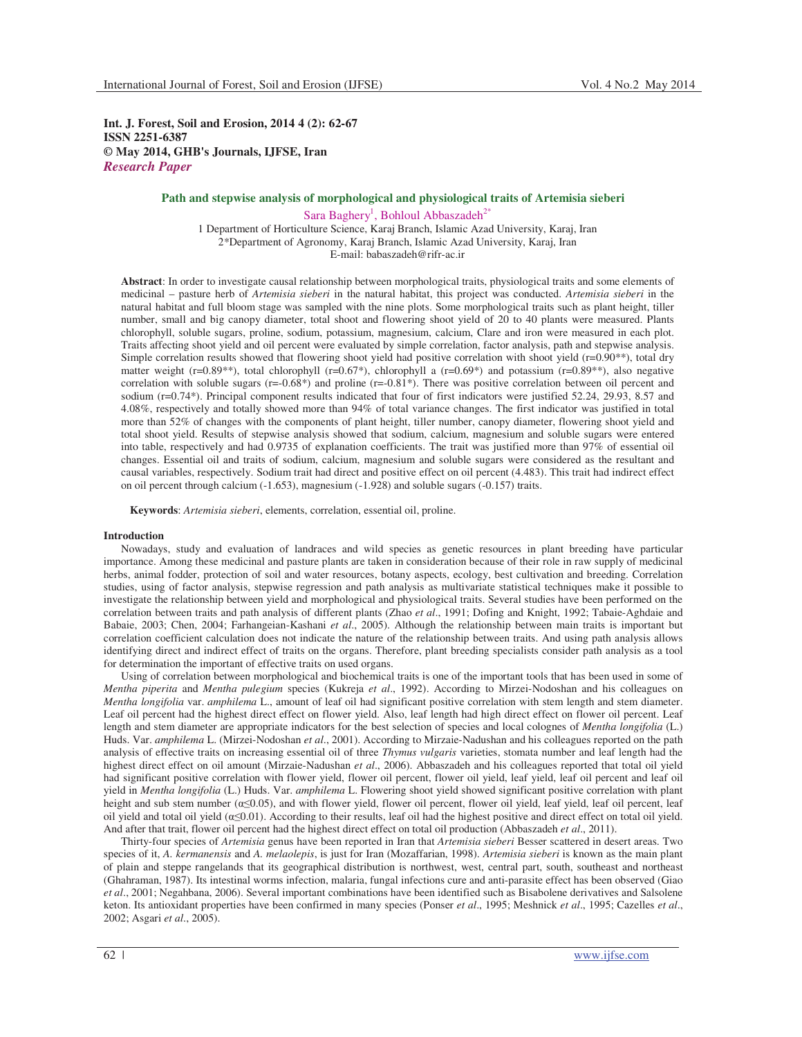**Int. J. Forest, Soil and Erosion, 2014 4 (2): 62-67 ISSN 2251-6387 © May 2014, GHB's Journals, IJFSE, Iran** *Research Paper*

# **Path and stepwise analysis of morphological and physiological traits of Artemisia sieberi**

Sara Baghery<sup>1</sup>, Bohloul Abbaszadeh<sup>2\*</sup> 1 Department of Horticulture Science, Karaj Branch, Islamic Azad University, Karaj, Iran 2\*Department of Agronomy, Karaj Branch, Islamic Azad University, Karaj, Iran E-mail: babaszadeh@rifr-ac.ir

**Abstract**: In order to investigate causal relationship between morphological traits, physiological traits and some elements of medicinal – pasture herb of *Artemisia sieberi* in the natural habitat, this project was conducted. *Artemisia sieberi* in the natural habitat and full bloom stage was sampled with the nine plots. Some morphological traits such as plant height, tiller number, small and big canopy diameter, total shoot and flowering shoot yield of 20 to 40 plants were measured. Plants chlorophyll, soluble sugars, proline, sodium, potassium, magnesium, calcium, Clare and iron were measured in each plot. Traits affecting shoot yield and oil percent were evaluated by simple correlation, factor analysis, path and stepwise analysis. Simple correlation results showed that flowering shoot yield had positive correlation with shoot yield ( $r=0.90**$ ), total dry matter weight (r=0.89<sup>\*\*)</sup>, total chlorophyll (r=0.67<sup>\*</sup>), chlorophyll a (r=0.69<sup>\*</sup>) and potassium (r=0.89<sup>\*\*)</sup>, also negative correlation with soluble sugars  $(r=-0.68*)$  and proline  $(r=-0.81*)$ . There was positive correlation between oil percent and sodium (r=0.74\*). Principal component results indicated that four of first indicators were justified 52.24, 29.93, 8.57 and 4.08%, respectively and totally showed more than 94% of total variance changes. The first indicator was justified in total more than 52% of changes with the components of plant height, tiller number, canopy diameter, flowering shoot yield and total shoot yield. Results of stepwise analysis showed that sodium, calcium, magnesium and soluble sugars were entered into table, respectively and had 0.9735 of explanation coefficients. The trait was justified more than 97% of essential oil changes. Essential oil and traits of sodium, calcium, magnesium and soluble sugars were considered as the resultant and causal variables, respectively. Sodium trait had direct and positive effect on oil percent (4.483). This trait had indirect effect on oil percent through calcium (-1.653), magnesium (-1.928) and soluble sugars (-0.157) traits.

**Keywords**: *Artemisia sieberi*, elements, correlation, essential oil, proline.

#### **Introduction**

Nowadays, study and evaluation of landraces and wild species as genetic resources in plant breeding have particular importance. Among these medicinal and pasture plants are taken in consideration because of their role in raw supply of medicinal herbs, animal fodder, protection of soil and water resources, botany aspects, ecology, best cultivation and breeding. Correlation studies, using of factor analysis, stepwise regression and path analysis as multivariate statistical techniques make it possible to investigate the relationship between yield and morphological and physiological traits. Several studies have been performed on the correlation between traits and path analysis of different plants (Zhao *et al*., 1991; Dofing and Knight, 1992; Tabaie-Aghdaie and Babaie, 2003; Chen, 2004; Farhangeian-Kashani *et al*., 2005). Although the relationship between main traits is important but correlation coefficient calculation does not indicate the nature of the relationship between traits. And using path analysis allows identifying direct and indirect effect of traits on the organs. Therefore, plant breeding specialists consider path analysis as a tool for determination the important of effective traits on used organs.

Using of correlation between morphological and biochemical traits is one of the important tools that has been used in some of *Mentha piperita* and *Mentha pulegium* species (Kukreja *et al*., 1992). According to Mirzei-Nodoshan and his colleagues on *Mentha longifolia* var. *amphilema* L., amount of leaf oil had significant positive correlation with stem length and stem diameter. Leaf oil percent had the highest direct effect on flower yield. Also, leaf length had high direct effect on flower oil percent. Leaf length and stem diameter are appropriate indicators for the best selection of species and local colognes of *Mentha longifolia* (L.) Huds. Var. *amphilema* L. (Mirzei-Nodoshan *et al*., 2001). According to Mirzaie-Nadushan and his colleagues reported on the path analysis of effective traits on increasing essential oil of three *Thymus vulgaris* varieties, stomata number and leaf length had the highest direct effect on oil amount (Mirzaie-Nadushan *et al*., 2006). Abbaszadeh and his colleagues reported that total oil yield had significant positive correlation with flower yield, flower oil percent, flower oil yield, leaf yield, leaf oil percent and leaf oil yield in *Mentha longifolia* (L.) Huds. Var. *amphilema* L. Flowering shoot yield showed significant positive correlation with plant height and sub stem number ( $\alpha \leq 0.05$ ), and with flower yield, flower oil percent, flower oil yield, leaf yield, leaf oil percent, leaf oil yield and total oil yield  $(\alpha \le 0.01)$ . According to their results, leaf oil had the highest positive and direct effect on total oil yield. And after that trait, flower oil percent had the highest direct effect on total oil production (Abbaszadeh *et al*., 2011).

Thirty-four species of *Artemisia* genus have been reported in Iran that *Artemisia sieberi* Besser scattered in desert areas. Two species of it, *A. kermanensis* and *A. melaolepis*, is just for Iran (Mozaffarian, 1998). *Artemisia sieberi* is known as the main plant of plain and steppe rangelands that its geographical distribution is northwest, west, central part, south, southeast and northeast (Ghahraman, 1987). Its intestinal worms infection, malaria, fungal infections cure and anti-parasite effect has been observed (Giao *et al*., 2001; Negahbana, 2006). Several important combinations have been identified such as Bisabolene derivatives and Salsolene keton. Its antioxidant properties have been confirmed in many species (Ponser *et al*., 1995; Meshnick *et al*., 1995; Cazelles *et al*., 2002; Asgari *et al*., 2005).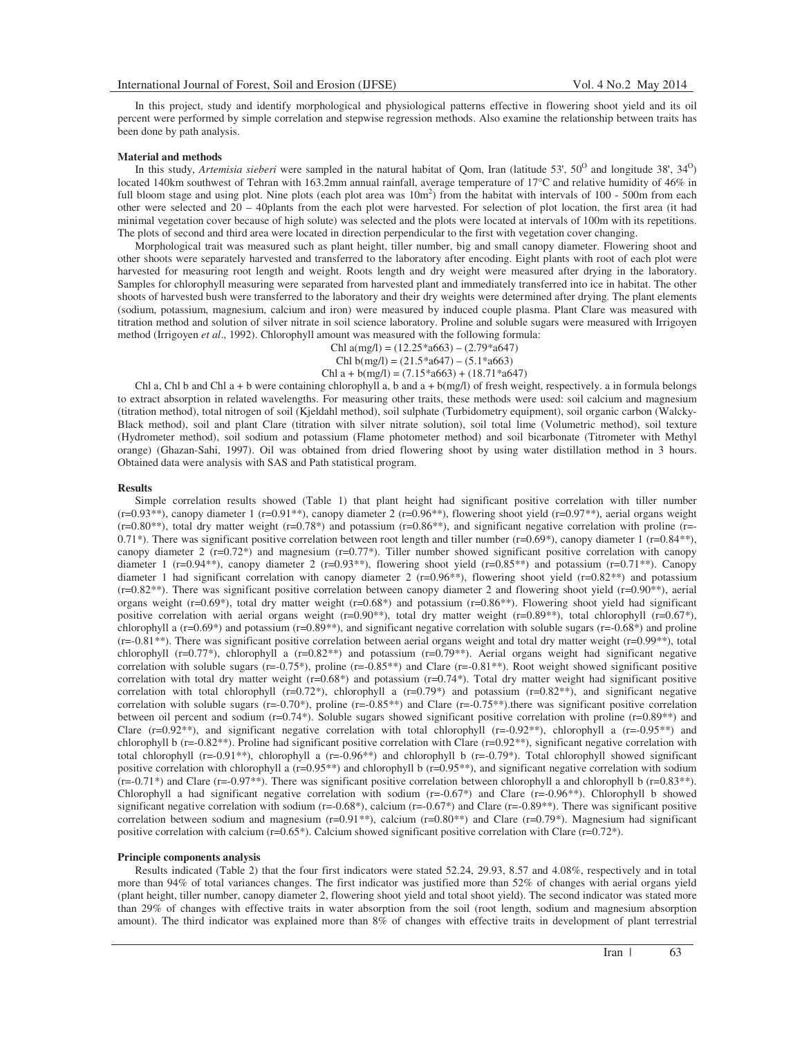In this project, study and identify morphological and physiological patterns effective in flowering shoot yield and its oil percent were performed by simple correlation and stepwise regression methods. Also examine the relationship between traits has been done by path analysis.

#### **Material and methods**

In this study, *Artemisia sieberi* were sampled in the natural habitat of Qom, Iran (latitude 53', 50<sup>0</sup> and longitude 38', 34<sup>0</sup>) located 140km southwest of Tehran with 163.2mm annual rainfall, average temperature of 17°C and relative humidity of 46% in full bloom stage and using plot. Nine plots (each plot area was  $10m<sup>2</sup>$ ) from the habitat with intervals of  $100 - 500m$  from each other were selected and 20 – 40plants from the each plot were harvested. For selection of plot location, the first area (it had minimal vegetation cover because of high solute) was selected and the plots were located at intervals of 100m with its repetitions. The plots of second and third area were located in direction perpendicular to the first with vegetation cover changing.

Morphological trait was measured such as plant height, tiller number, big and small canopy diameter. Flowering shoot and other shoots were separately harvested and transferred to the laboratory after encoding. Eight plants with root of each plot were harvested for measuring root length and weight. Roots length and dry weight were measured after drying in the laboratory. Samples for chlorophyll measuring were separated from harvested plant and immediately transferred into ice in habitat. The other shoots of harvested bush were transferred to the laboratory and their dry weights were determined after drying. The plant elements (sodium, potassium, magnesium, calcium and iron) were measured by induced couple plasma. Plant Clare was measured with titration method and solution of silver nitrate in soil science laboratory. Proline and soluble sugars were measured with Irrigoyen method (Irrigoyen *et al*., 1992). Chlorophyll amount was measured with the following formula:

Chl  $a(mg/l) = (12.25 * a663) - (2.79 * a647)$ Chl b(mg/l) =  $(21.5 * a647) - (5.1 * a663)$ 

Chl a +  $b(mg/l) = (7.15 * a663) + (18.71 * a647)$ 

Chl a, Chl b and Chl a + b were containing chlorophyll a, b and a + b(mg/l) of fresh weight, respectively. a in formula belongs to extract absorption in related wavelengths. For measuring other traits, these methods were used: soil calcium and magnesium (titration method), total nitrogen of soil (Kjeldahl method), soil sulphate (Turbidometry equipment), soil organic carbon (Walcky-Black method), soil and plant Clare (titration with silver nitrate solution), soil total lime (Volumetric method), soil texture (Hydrometer method), soil sodium and potassium (Flame photometer method) and soil bicarbonate (Titrometer with Methyl orange) (Ghazan-Sahi, 1997). Oil was obtained from dried flowering shoot by using water distillation method in 3 hours. Obtained data were analysis with SAS and Path statistical program.

#### **Results**

Simple correlation results showed (Table 1) that plant height had significant positive correlation with tiller number  $(r=0.93**)$ , canopy diameter 1  $(r=0.91**)$ , canopy diameter 2  $(r=0.96**)$ , flowering shoot yield  $(r=0.97**)$ , aerial organs weight  $(r=0.80^{**})$ , total dry matter weight  $(r=0.78^*)$  and potassium  $(r=0.86^{**})$ , and significant negative correlation with proline (r=-0.71\*). There was significant positive correlation between root length and tiller number (r=0.69\*), canopy diameter 1 (r=0.84\*\*), canopy diameter 2 ( $r=0.72^*$ ) and magnesium ( $r=0.77^*$ ). Tiller number showed significant positive correlation with canopy diameter 1 (r=0.94\*\*), canopy diameter 2 (r=0.93\*\*), flowering shoot yield (r=0.85\*\*) and potassium (r=0.71\*\*). Canopy diameter 1 had significant correlation with canopy diameter 2 (r=0.96\*\*), flowering shoot yield (r=0.82\*\*) and potassium  $(r=0.82^{**})$ . There was significant positive correlation between canopy diameter 2 and flowering shoot yield  $(r=0.90^{**})$ , aerial organs weight (r=0.69\*), total dry matter weight (r=0.68\*) and potassium (r=0.86\*\*). Flowering shoot yield had significant positive correlation with aerial organs weight (r=0.90<sup>\*\*</sup>), total dry matter weight (r=0.89<sup>\*\*</sup>), total chlorophyll (r=0.67<sup>\*</sup>), chlorophyll a  $(r=0.69^*)$  and potassium  $(r=0.89^{**})$ , and significant negative correlation with soluble sugars  $(r=0.68^*)$  and proline (r=-0.81\*\*). There was significant positive correlation between aerial organs weight and total dry matter weight (r=0.99\*\*), total chlorophyll (r=0.77<sup>\*</sup>), chlorophyll a (r=0.82<sup>\*\*</sup>) and potassium (r=0.79<sup>\*\*</sup>). Aerial organs weight had significant negative correlation with soluble sugars ( $r=-0.75$ \*), proline ( $r=-0.85$ \*\*) and Clare ( $r=-0.81$ \*\*). Root weight showed significant positive correlation with total dry matter weight  $(r=0.68*)$  and potassium  $(r=0.74*)$ . Total dry matter weight had significant positive correlation with total chlorophyll (r=0.72\*), chlorophyll a  $(r=0.79*)$  and potassium  $(r=0.82**)$ , and significant negative correlation with soluble sugars ( $r=-0.70^*$ ), proline ( $r=-0.85^{**}$ ) and Clare ( $r=-0.75^{**}$ ).there was significant positive correlation between oil percent and sodium ( $r=0.74$ \*). Soluble sugars showed significant positive correlation with proline ( $r=0.89$ \*\*) and Clare  $(r=0.92**)$ , and significant negative correlation with total chlorophyll  $(r=-0.92**)$ , chlorophyll a  $(r=-0.95**)$  and chlorophyll b (r=-0.82\*\*). Proline had significant positive correlation with Clare (r=0.92\*\*), significant negative correlation with total chlorophyll (r=-0.91\*\*), chlorophyll a (r=-0.96\*\*) and chlorophyll b (r=-0.79\*). Total chlorophyll showed significant positive correlation with chlorophyll a (r=0.95\*\*) and chlorophyll b (r=0.95\*\*), and significant negative correlation with sodium  $(r=-0.71^*)$  and Clare  $(r=-0.97^{**})$ . There was significant positive correlation between chlorophyll a and chlorophyll b  $(r=0.83^{**})$ . Chlorophyll a had significant negative correlation with sodium (r=-0.67\*) and Clare (r=-0.96\*\*). Chlorophyll b showed significant negative correlation with sodium ( $r=0.68^*$ ), calcium ( $r=0.67^*$ ) and Clare ( $r=0.89^{**}$ ). There was significant positive correlation between sodium and magnesium ( $r=0.91^{**}$ ), calcium ( $r=0.80^{**}$ ) and Clare ( $r=0.79^{*}$ ). Magnesium had significant positive correlation with calcium ( $r=0.65*$ ). Calcium showed significant positive correlation with Clare ( $r=0.72*$ ).

# **Principle components analysis**

Results indicated (Table 2) that the four first indicators were stated 52.24, 29.93, 8.57 and 4.08%, respectively and in total more than 94% of total variances changes. The first indicator was justified more than 52% of changes with aerial organs yield (plant height, tiller number, canopy diameter 2, flowering shoot yield and total shoot yield). The second indicator was stated more than 29% of changes with effective traits in water absorption from the soil (root length, sodium and magnesium absorption amount). The third indicator was explained more than 8% of changes with effective traits in development of plant terrestrial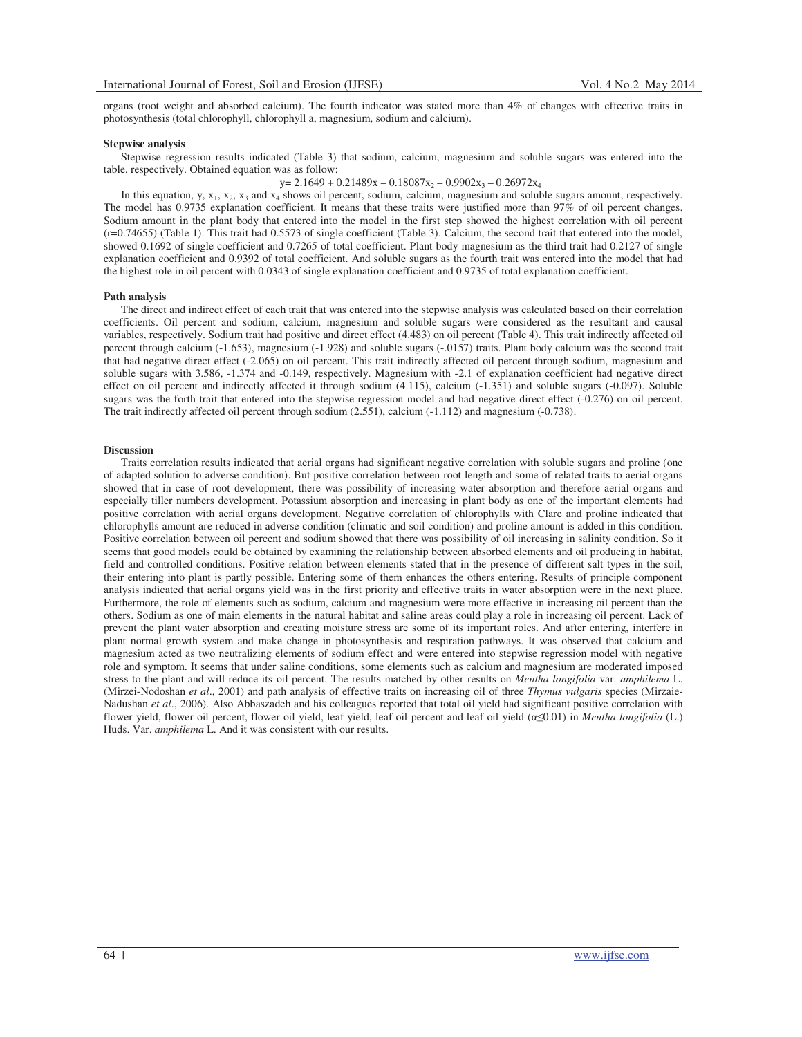organs (root weight and absorbed calcium). The fourth indicator was stated more than 4% of changes with effective traits in photosynthesis (total chlorophyll, chlorophyll a, magnesium, sodium and calcium).

#### **Stepwise analysis**

Stepwise regression results indicated (Table 3) that sodium, calcium, magnesium and soluble sugars was entered into the table, respectively. Obtained equation was as follow:

 $y= 2.1649 + 0.21489x - 0.18087x_2 - 0.9902x_3 - 0.26972x_4$ 

In this equation,  $y, x_1, x_2, x_3$  and  $x_4$  shows oil percent, sodium, calcium, magnesium and soluble sugars amount, respectively. The model has 0.9735 explanation coefficient. It means that these traits were justified more than 97% of oil percent changes. Sodium amount in the plant body that entered into the model in the first step showed the highest correlation with oil percent (r=0.74655) (Table 1). This trait had 0.5573 of single coefficient (Table 3). Calcium, the second trait that entered into the model, showed 0.1692 of single coefficient and 0.7265 of total coefficient. Plant body magnesium as the third trait had 0.2127 of single explanation coefficient and 0.9392 of total coefficient. And soluble sugars as the fourth trait was entered into the model that had the highest role in oil percent with 0.0343 of single explanation coefficient and 0.9735 of total explanation coefficient.

# **Path analysis**

The direct and indirect effect of each trait that was entered into the stepwise analysis was calculated based on their correlation coefficients. Oil percent and sodium, calcium, magnesium and soluble sugars were considered as the resultant and causal variables, respectively. Sodium trait had positive and direct effect (4.483) on oil percent (Table 4). This trait indirectly affected oil percent through calcium (-1.653), magnesium (-1.928) and soluble sugars (-.0157) traits. Plant body calcium was the second trait that had negative direct effect (-2.065) on oil percent. This trait indirectly affected oil percent through sodium, magnesium and soluble sugars with 3.586, -1.374 and -0.149, respectively. Magnesium with -2.1 of explanation coefficient had negative direct effect on oil percent and indirectly affected it through sodium (4.115), calcium (-1.351) and soluble sugars (-0.097). Soluble sugars was the forth trait that entered into the stepwise regression model and had negative direct effect (-0.276) on oil percent. The trait indirectly affected oil percent through sodium (2.551), calcium (-1.112) and magnesium (-0.738).

# **Discussion**

Traits correlation results indicated that aerial organs had significant negative correlation with soluble sugars and proline (one of adapted solution to adverse condition). But positive correlation between root length and some of related traits to aerial organs showed that in case of root development, there was possibility of increasing water absorption and therefore aerial organs and especially tiller numbers development. Potassium absorption and increasing in plant body as one of the important elements had positive correlation with aerial organs development. Negative correlation of chlorophylls with Clare and proline indicated that chlorophylls amount are reduced in adverse condition (climatic and soil condition) and proline amount is added in this condition. Positive correlation between oil percent and sodium showed that there was possibility of oil increasing in salinity condition. So it seems that good models could be obtained by examining the relationship between absorbed elements and oil producing in habitat, field and controlled conditions. Positive relation between elements stated that in the presence of different salt types in the soil, their entering into plant is partly possible. Entering some of them enhances the others entering. Results of principle component analysis indicated that aerial organs yield was in the first priority and effective traits in water absorption were in the next place. Furthermore, the role of elements such as sodium, calcium and magnesium were more effective in increasing oil percent than the others. Sodium as one of main elements in the natural habitat and saline areas could play a role in increasing oil percent. Lack of prevent the plant water absorption and creating moisture stress are some of its important roles. And after entering, interfere in plant normal growth system and make change in photosynthesis and respiration pathways. It was observed that calcium and magnesium acted as two neutralizing elements of sodium effect and were entered into stepwise regression model with negative role and symptom. It seems that under saline conditions, some elements such as calcium and magnesium are moderated imposed stress to the plant and will reduce its oil percent. The results matched by other results on *Mentha longifolia* var. *amphilema* L. (Mirzei-Nodoshan *et al*., 2001) and path analysis of effective traits on increasing oil of three *Thymus vulgaris* species (Mirzaie-Nadushan *et al*., 2006). Also Abbaszadeh and his colleagues reported that total oil yield had significant positive correlation with flower yield, flower oil percent, flower oil yield, leaf yield, leaf oil percent and leaf oil yield  $(\alpha \leq 0.01)$  in *Mentha longifolia* (L.) Huds. Var. *amphilema* L. And it was consistent with our results.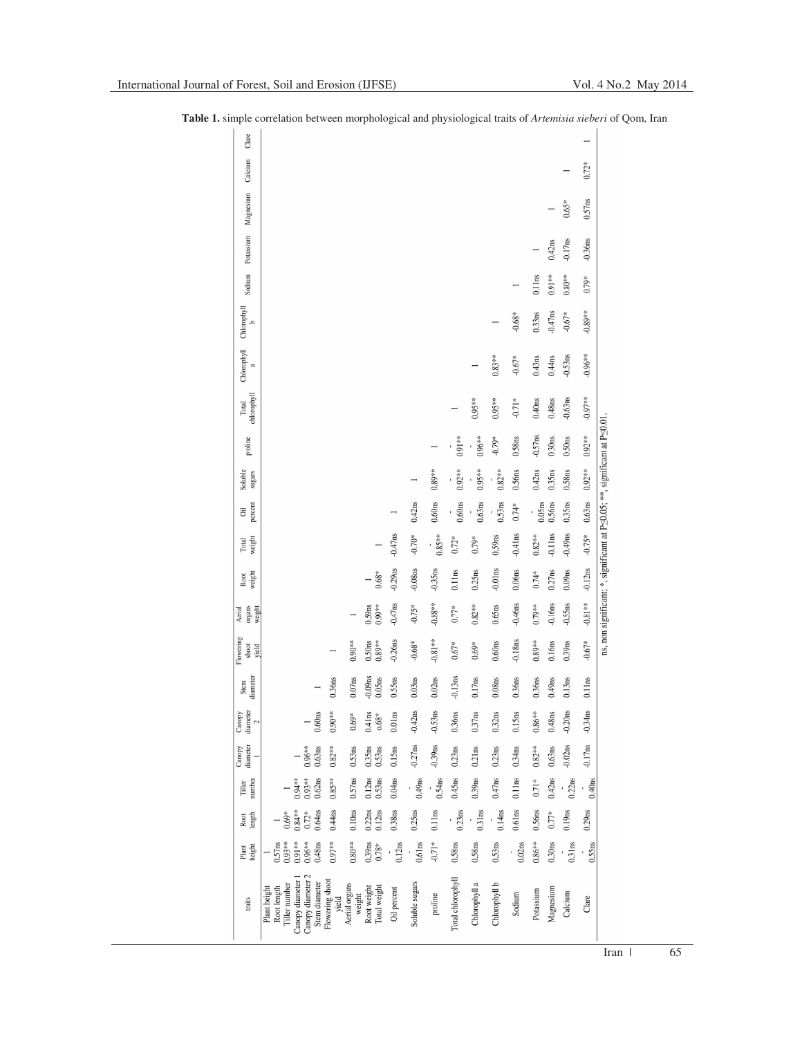| Clare                         |                                                                                      |                                           |                         |                                |                    |                    |                    |                    |               |                    |                    |           |                    |                    | $\overline{ }$     |
|-------------------------------|--------------------------------------------------------------------------------------|-------------------------------------------|-------------------------|--------------------------------|--------------------|--------------------|--------------------|--------------------|---------------|--------------------|--------------------|-----------|--------------------|--------------------|--------------------|
| Calcium                       |                                                                                      |                                           |                         |                                |                    |                    |                    |                    |               |                    |                    |           |                    |                    | $0.72*$            |
| Magnesium                     |                                                                                      |                                           |                         |                                |                    |                    |                    |                    |               |                    |                    |           |                    | $0.65*$            | 0.57ns             |
| Potassium                     |                                                                                      |                                           |                         |                                |                    |                    |                    |                    |               |                    |                    |           | 0.42ns             | $-0.17ns$          | $-0.36$ ns         |
| Sodium                        |                                                                                      |                                           |                         |                                |                    |                    |                    |                    |               |                    |                    | 0.11ms    | $0.91**$           | $0.80**$           | 0.79*              |
| Chlorophyll<br>$\overline{a}$ |                                                                                      |                                           |                         |                                |                    |                    |                    |                    |               | $\overline{ }$     | $-0.68*$           | 0.33ns    | $-0.47ns$          | $-0.67*$           | $-0.89**$          |
| Chlorophyll<br>a              |                                                                                      |                                           |                         |                                |                    |                    |                    |                    |               | $0.83**$           | $-0.67*$           | $0.43$ ns | 0.44ns             | $-0.53ns$          | $-0.96**$          |
| chlorophyll<br>Total          |                                                                                      |                                           |                         |                                |                    |                    |                    |                    | $0.95***$     | $0.95**$           | $-0.71*$           | $0.40$ ns | 0.48ns             | $-0.63$ ns         | $-0.97**$          |
| proline                       |                                                                                      |                                           |                         |                                |                    |                    |                    | $0.91**$           | $0.96***$     | $-0.79*$           | 0.58ns             | $-0.57ns$ | 0.30 <sub>ns</sub> | 0.50 <sub>ns</sub> | $0.92***$          |
| Soluble<br>sugars             |                                                                                      |                                           |                         |                                |                    |                    | $0.89^{\ast\ast}$  | $0.92**$           | $0.95**$      | $0.82**$           | 0.56ns             | 0.42ns    | 0.35ns             | 0.58ns             | $0.92***$          |
| percent<br>öil                |                                                                                      |                                           |                         |                                |                    | 0.42ns             | 0.60 <sub>ns</sub> | 0.60 <sub>ns</sub> | 0.63ns        | 0.53ns             | $0.74*$            | $0.05$ ns | 0.56ns             | $0.35 \mathrm{ns}$ | 0.63ns             |
| weight<br>Total               |                                                                                      |                                           |                         |                                | $-0.47ns$          | $-0.70*$           | $0.85**$<br>î,     | $0.72*$            | $0.79*$       | 0.59ns             | $-0.41$ ns         | $0.82**$  | $-0.11ms$          | $-0.49ns$          | $-0.75*$           |
| weight<br>Root                |                                                                                      |                                           |                         | $0.68*$                        | $-0.29ns$          | $-0.08ns$          | $-0.35ns$          | 0.11 <sub>ns</sub> | 0.25ns        | $-0.01$ ns         | 0.06 <sub>ns</sub> | $0.74*$   | 0.27ns             | 0.09ns             | $-0.12ns$          |
| organs<br>weight<br>Aerial    |                                                                                      |                                           |                         | 0.59ns<br>$0.99**$             | $-0.47ns$          | $-0.75*$           | $-0.88**$          | $0.77*$            | $0.82**$      | $0.65$ ns          | $-0.46$ ns         | $0.79**$  | $0.16$ ns          | $-0.55ns$          | $-0.81**$          |
| Flowering<br>shoot<br>yield   |                                                                                      |                                           | $0.90**$                | $0.89**$<br>0.50 <sub>ns</sub> | $-0.26$ ns         | $-0.68*$           | $-0.81**$          | $0.67*$            | $0.69*$       | 0.60 <sub>ns</sub> | $-0.18ns$          | $0.89**$  | 0.16ns             | $0.39$ ns          | $-0.67*$           |
| diameter<br>Stem              |                                                                                      | 0.36ns                                    | 0.07ns                  | $-0.09ns$<br>0.05ns            | 0.55ns             | 0.03ns             | 0.02ns             | $-0.13$ ns         | 0.17ns        | $0.08 \mathrm{ns}$ | 0.36ns             | 0.36ns    | $0.49$ ns          | $0.13$ ns          | 0.11 <sub>ns</sub> |
| diameter<br>Canopy<br>2       |                                                                                      | 0.60 <sub>ns</sub><br>$0.90**$            | $0.69*$                 | 0.41ns<br>$0.68*$              | 0.01 <sub>ns</sub> | $-0.42ns$          | $-0.53ns$          | 0.36ns             | 0.37ns        | 0.32ns             | 0.15ns             | $0.86**$  | 0.48ns             | $-0.20ns$          | $-0.34$ ns         |
| diameter<br>Canopy            | $0.96**$                                                                             | 0.63ns<br>$0.82***$                       | 0.53ns                  | $0.35ns$ $0.53ns$              | 0.15ns             | $-0.27ns$          | $-0.39$ ns         | 0.23ns             | 0.21ns        | 0.23ns             | 0.34ns             | $0.82**$  | 0.63ns             | $-0.02ns$          | $-0.17ns$          |
| number<br>Tiller              | $0.94**$<br>$0.93**$                                                                 | 0.62ns<br>$0.85**$                        | 0.57ns                  | $0.12ns$<br>$0.53ns$           | 0.04ns             | $0.49$ ns          | 0.54ns             | $0.45$ ns          | $0.39$ ns     | $0.47$ ns          | 0.11ns             | $0.71*$   | $0.42$ ns          | 0.22ns             | $0.40$ ns          |
| Root<br>length                | $0.84**$<br>$0.72*$<br>$0.69*$                                                       | 0.64ns<br>$0.44$ ns                       | 0.10 <sub>ns</sub>      | 0.22ns<br>0.12ns               | 0.38ns             | 0.25ns             | 0.11ns             | 0.23ns             | 0.31ms        | 0.14 <sub>ns</sub> | 0.61 <sub>ns</sub> | 0.56ns    | $0.77*$            | $0.19$ ns          | 0.29ns             |
| height<br>Plant               | $0.57ms$<br>$0.93**$<br>$0.91**$<br>$0.96**$                                         | 0.48ns<br>$0.97**$                        | $0.80**$                | $0.39ms$<br>$0.78*$            | 0.12ns             | 0.61 <sub>ns</sub> | $-0.71*$           | 0.58ns             | 0.58ns        | 0.53ns             | 0.02ns             | $0.86**$  | 0.30 <sub>ns</sub> | 0.31ms             | 0.55ns             |
| traits                        | Canopy diameter 2<br>Canopy diameter<br>Tiller number<br>Plant height<br>Root length | Flowering shoot<br>Stem diameter<br>yield | Aerial organs<br>weight | Total weight<br>Root weight    | Oil percent        | Soluble sugars     | proline            | Total chlorophyll  | Chlorophyll a | Chlorophyll b      | Sodium             | Potassium | Magnesium          | Calcium            | Clare              |

**Table 1.** simple correlation between morphological and physiological traits of *Artemisia sieberi* of Qom, Iran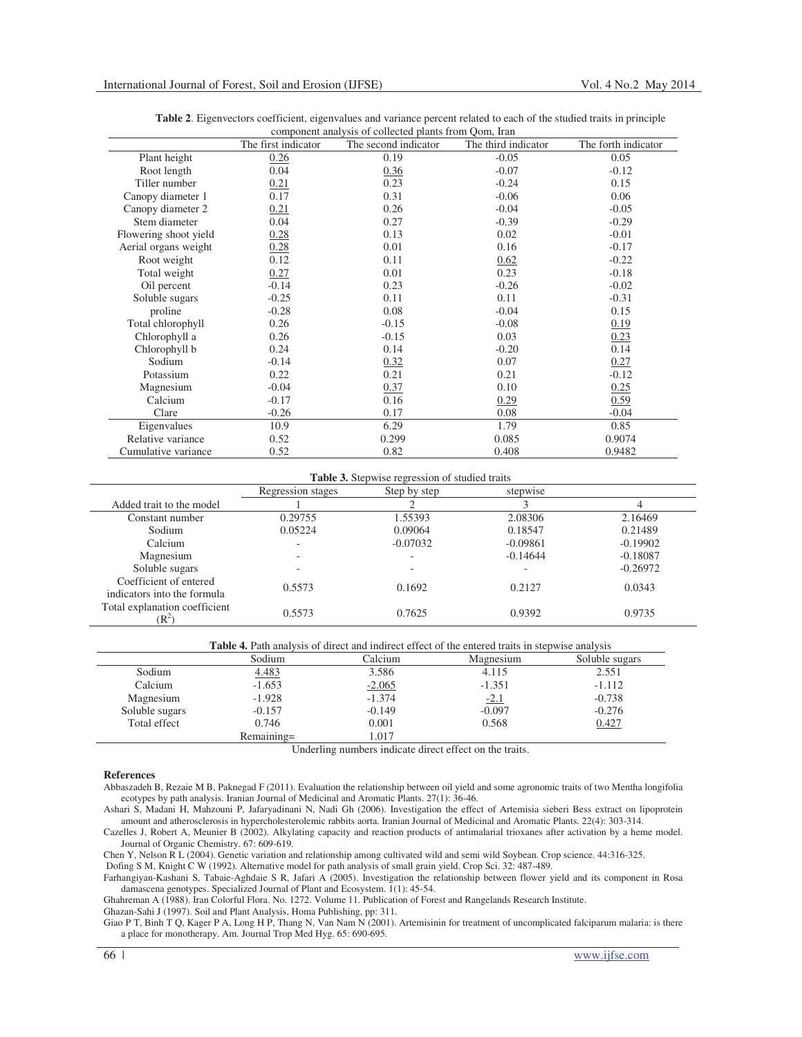|                       | The first indicator | The second indicator | The third indicator | The forth indicator |
|-----------------------|---------------------|----------------------|---------------------|---------------------|
| Plant height          | 0.26                | 0.19                 | $-0.05$             | 0.05                |
| Root length           | 0.04                | 0.36                 | $-0.07$             | $-0.12$             |
| Tiller number         | 0.21                | 0.23                 | $-0.24$             | 0.15                |
| Canopy diameter 1     | 0.17                | 0.31                 | $-0.06$             | 0.06                |
| Canopy diameter 2     | 0.21                | 0.26                 | $-0.04$             | $-0.05$             |
| Stem diameter         | 0.04                | 0.27                 | $-0.39$             | $-0.29$             |
| Flowering shoot yield | 0.28                | 0.13                 | 0.02                | $-0.01$             |
| Aerial organs weight  | 0.28                | 0.01                 | 0.16                | $-0.17$             |
| Root weight           | 0.12                | 0.11                 | 0.62                | $-0.22$             |
| Total weight          | 0.27                | 0.01                 | 0.23                | $-0.18$             |
| Oil percent           | $-0.14$             | 0.23                 | $-0.26$             | $-0.02$             |
| Soluble sugars        | $-0.25$             | 0.11                 | 0.11                | $-0.31$             |
| proline               | $-0.28$             | 0.08                 | $-0.04$             | 0.15                |
| Total chlorophyll     | 0.26                | $-0.15$              | $-0.08$             | 0.19                |
| Chlorophyll a         | 0.26                | $-0.15$              | 0.03                | 0.23                |
| Chlorophyll b         | 0.24                | 0.14                 | $-0.20$             | 0.14                |
| Sodium                | $-0.14$             | 0.32                 | 0.07                | 0.27                |
| Potassium             | 0.22                | 0.21                 | 0.21                | $-0.12$             |
| Magnesium             | $-0.04$             | 0.37                 | 0.10                | 0.25                |
| Calcium               | $-0.17$             | 0.16                 | 0.29                | 0.59                |
| Clare                 | $-0.26$             | 0.17                 | 0.08                | $-0.04$             |
| Eigenvalues           | 10.9                | 6.29                 | 1.79                | 0.85                |
| Relative variance     | 0.52                | 0.299                | 0.085               | 0.9074              |
| Cumulative variance   | 0.52                | 0.82                 | 0.408               | 0.9482              |

| Table 2. Eigenvectors coefficient, eigenvalues and variance percent related to each of the studied traits in principle |                                                       |  |  |  |  |  |  |
|------------------------------------------------------------------------------------------------------------------------|-------------------------------------------------------|--|--|--|--|--|--|
|                                                                                                                        | component analysis of collected plants from Oom, Iran |  |  |  |  |  |  |

| <b>Table 3.</b> Stepwise regression of studied traits |                   |              |            |            |  |  |  |  |
|-------------------------------------------------------|-------------------|--------------|------------|------------|--|--|--|--|
|                                                       | Regression stages | Step by step | stepwise   |            |  |  |  |  |
| Added trait to the model                              |                   |              |            |            |  |  |  |  |
| Constant number                                       | 0.29755           | 1.55393      | 2.08306    | 2.16469    |  |  |  |  |
| Sodium                                                | 0.05224           | 0.09064      | 0.18547    | 0.21489    |  |  |  |  |
| Calcium                                               |                   | $-0.07032$   | $-0.09861$ | $-0.19902$ |  |  |  |  |
| Magnesium                                             |                   |              | $-0.14644$ | $-0.18087$ |  |  |  |  |
| Soluble sugars                                        |                   |              |            | $-0.26972$ |  |  |  |  |
| Coefficient of entered<br>indicators into the formula | 0.5573            | 0.1692       | 0.2127     | 0.0343     |  |  |  |  |
| Total explanation coefficient<br>$\mathbb{R}^2$       | 0.5573            | 0.7625       | 0.9392     | 0.9735     |  |  |  |  |

|  |  | <b>Table 4.</b> Path analysis of direct and indirect effect of the entered traits in stepwise analysis |
|--|--|--------------------------------------------------------------------------------------------------------|
|  |  |                                                                                                        |

|                | Sodium     | Calcium  | Magnesium | Soluble sugars |  |  |  |  |  |
|----------------|------------|----------|-----------|----------------|--|--|--|--|--|
| Sodium         | 4.483      | 3.586    | 4.115     | 2.551          |  |  |  |  |  |
| Calcium        | $-1.653$   | $-2.065$ | $-1.351$  | $-1.112$       |  |  |  |  |  |
| Magnesium      | $-1.928$   | $-1.374$ | $-2.1$    | $-0.738$       |  |  |  |  |  |
| Soluble sugars | $-0.157$   | $-0.149$ | $-0.097$  | $-0.276$       |  |  |  |  |  |
| Total effect   | 0.746      | 0.001    | 0.568     | 0.427          |  |  |  |  |  |
|                | Remaining= | 1.017    |           |                |  |  |  |  |  |

Underling numbers indicate direct effect on the traits.

# **References**

Abbaszadeh B, Rezaie M B, Paknegad F (2011). Evaluation the relationship between oil yield and some agronomic traits of two Mentha longifolia ecotypes by path analysis. Iranian Journal of Medicinal and Aromatic Plants. 27(1): 36-46.

Ashari S, Madani H, Mahzouni P, Jafaryadinani N, Nadi Gh (2006). Investigation the effect of Artemisia sieberi Bess extract on lipoprotein amount and atherosclerosis in hypercholesterolemic rabbits aorta. Iranian Journal of Medicinal and Aromatic Plants. 22(4): 303-314.

Cazelles J, Robert A, Meunier B (2002). Alkylating capacity and reaction products of antimalarial trioxanes after activation by a heme model. Journal of Organic Chemistry. 67: 609-619.

Chen Y, Nelson R L (2004). Genetic variation and relationship among cultivated wild and semi wild Soybean. Crop science. 44:316-325.

Dofing S M, Knight C W (1992). Alternative model for path analysis of small grain yield. Crop Sci. 32: 487-489

Farhangiyan-Kashani S, Tabaie-Aghdaie S R, Jafari A (2005). Investigation the relationship between flower yield and its component in Rosa damascena genotypes. Specialized Journal of Plant and Ecosystem. 1(1): 45-54.

Ghahreman A (1988). Iran Colorful Flora. No. 1272. Volume 11. Publication of Forest and Rangelands Research Institute.

Ghazan-Sahi J (1997). Soil and Plant Analysis, Homa Publishing, pp: 311.

Giao P T, Binh T Q, Kager P A, Long H P, Thang N, Van Nam N (2001). Artemisinin for treatment of uncomplicated falciparum malaria: is there a place for monotherapy. Am. Journal Trop Med Hyg. 65: 690-695.